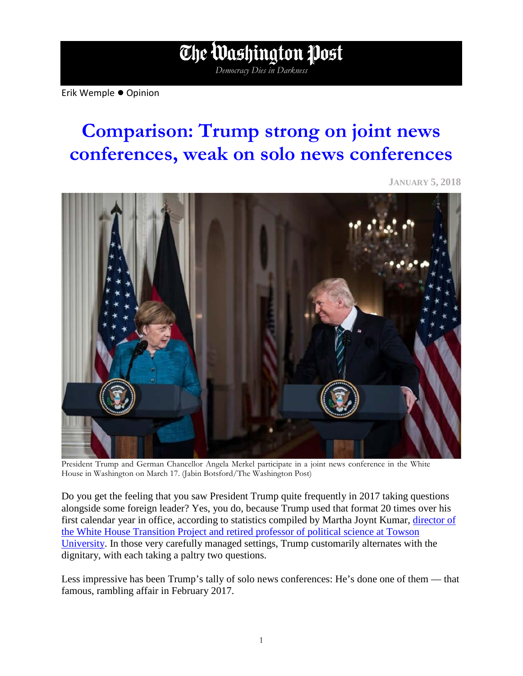## Erik Wemple ● Opinion

## **Comparison: Trump strong on joint news conferences, weak on solo news conferences**

*Democracy Dies in Darkness*

The Washington Post

**JANUARY 5, 2018**



President Trump and German Chancellor Angela Merkel participate in a joint news conference in the White House in Washington on March 17. (Jabin Botsford/The Washington Post)

Do you get the feeling that you saw President Trump quite frequently in 2017 taking questions alongside some foreign leader? Yes, you do, because Trump used that format 20 times over his first calendar year in office, according to statistics compiled by Martha Joynt Kumar, [director of](http://marthakumar.com/)  [the White House Transition Project and retired professor of political science at Towson](http://marthakumar.com/)  [University.](http://marthakumar.com/) In those very carefully managed settings, Trump customarily alternates with the dignitary, with each taking a paltry two questions.

Less impressive has been Trump's tally of solo news conferences: He's done one of them — that famous, rambling affair in February 2017.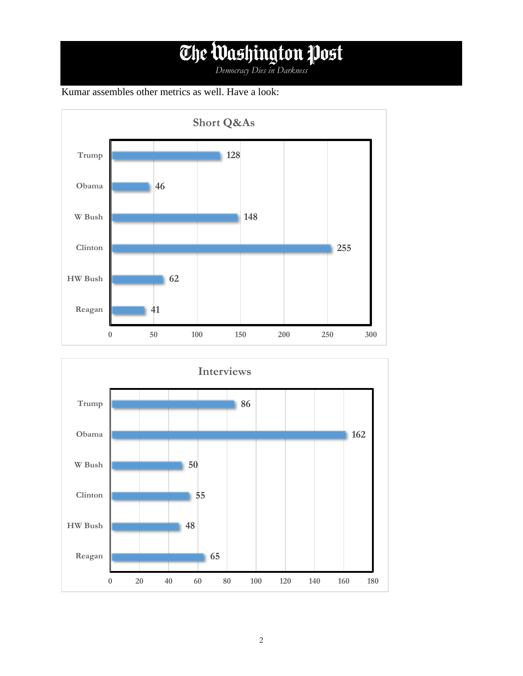## *Democracy Dies in Darkness*

## Kumar assembles other metrics as well. Have a look: